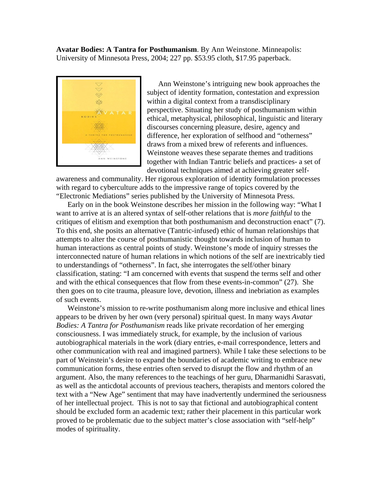**Avatar Bodies: A Tantra for Posthumanism**. By Ann Weinstone. Minneapolis: University of Minnesota Press, 2004; 227 pp. \$53.95 cloth, \$17.95 paperback.



Ann Weinstone's intriguing new book approaches the subject of identity formation, contestation and expression within a digital context from a transdisciplinary perspective. Situating her study of posthumanism within ethical, metaphysical, philosophical, linguistic and literary discourses concerning pleasure, desire, agency and difference, her exploration of selfhood and "otherness" draws from a mixed brew of referents and influences. Weinstone weaves these separate themes and traditions together with Indian Tantric beliefs and practices- a set of devotional techniques aimed at achieving greater self-

awareness and communality. Her rigorous exploration of identity formulation processes with regard to cyberculture adds to the impressive range of topics covered by the "Electronic Mediations" series published by the University of Minnesota Press.

Early on in the book Weinstone describes her mission in the following way: "What I want to arrive at is an altered syntax of self-other relations that is *more faithful* to the critiques of elitism and exemption that both posthumanism and deconstruction enact" (7). To this end, she posits an alternative (Tantric-infused) ethic of human relationships that attempts to alter the course of posthumanistic thought towards inclusion of human to human interactions as central points of study. Weinstone's mode of inquiry stresses the interconnected nature of human relations in which notions of the self are inextricably tied to understandings of "otherness". In fact, she interrogates the self/other binary classification, stating: "I am concerned with events that suspend the terms self and other and with the ethical consequences that flow from these events-in-common" (27). She then goes on to cite trauma, pleasure love, devotion, illness and inebriation as examples of such events.

Weinstone's mission to re-write posthumanism along more inclusive and ethical lines appears to be driven by her own (very personal) spiritual quest. In many ways *Avatar Bodies: A Tantra for Posthumanism* reads like private recordation of her emerging consciousness. I was immediately struck, for example, by the inclusion of various autobiographical materials in the work (diary entries, e-mail correspondence, letters and other communication with real and imagined partners). While I take these selections to be part of Weinstein's desire to expand the boundaries of academic writing to embrace new communication forms, these entries often served to disrupt the flow and rhythm of an argument. Also, the many references to the teachings of her guru, Dharmanidhi Sarasvati, as well as the anticdotal accounts of previous teachers, therapists and mentors colored the text with a "New Age" sentiment that may have inadvertently undermined the seriousness of her intellectual project. This is not to say that fictional and autobiographical content should be excluded form an academic text; rather their placement in this particular work proved to be problematic due to the subject matter's close association with "self-help" modes of spirituality.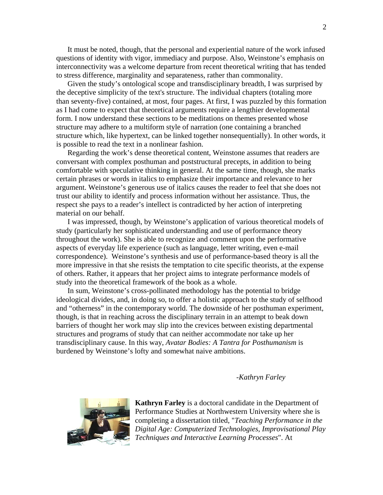It must be noted, though, that the personal and experiential nature of the work infused questions of identity with vigor, immediacy and purpose. Also, Weinstone's emphasis on interconnectivity was a welcome departure from recent theoretical writing that has tended to stress difference, marginality and separateness, rather than commonality.

Given the study's ontological scope and transdisciplinary breadth, I was surprised by the deceptive simplicity of the text's structure. The individual chapters (totaling more than seventy-five) contained, at most, four pages. At first, I was puzzled by this formation as I had come to expect that theoretical arguments require a lengthier developmental form. I now understand these sections to be meditations on themes presented whose structure may adhere to a multiform style of narration (one containing a branched structure which, like hypertext, can be linked together nonsequentially). In other words, it is possible to read the text in a nonlinear fashion.

Regarding the work's dense theoretical content, Weinstone assumes that readers are conversant with complex posthuman and poststructural precepts, in addition to being comfortable with speculative thinking in general. At the same time, though, she marks certain phrases or words in italics to emphasize their importance and relevance to her argument. Weinstone's generous use of italics causes the reader to feel that she does not trust our ability to identify and process information without her assistance. Thus, the respect she pays to a reader's intellect is contradicted by her action of interpreting material on our behalf.

I was impressed, though, by Weinstone's application of various theoretical models of study (particularly her sophisticated understanding and use of performance theory throughout the work). She is able to recognize and comment upon the performative aspects of everyday life experience (such as language, letter writing, even e-mail correspondence). Weinstone's synthesis and use of performance-based theory is all the more impressive in that she resists the temptation to cite specific theorists, at the expense of others. Rather, it appears that her project aims to integrate performance models of study into the theoretical framework of the book as a whole.

In sum, Weinstone's cross-pollinated methodology has the potential to bridge ideological divides, and, in doing so, to offer a holistic approach to the study of selfhood and "otherness" in the contemporary world. The downside of her posthuman experiment, though, is that in reaching across the disciplinary terrain in an attempt to beak down barriers of thought her work may slip into the crevices between existing departmental structures and programs of study that can neither accommodate nor take up her transdisciplinary cause. In this way, *Avatar Bodies: A Tantra for Posthumanism* is burdened by Weinstone's lofty and somewhat naive ambitions.

*-Kathryn Farley* 



**Kathryn Farley** is a doctoral candidate in the Department of Performance Studies at Northwestern University where she is completing a dissertation titled, "*Teaching Performance in the Digital Age: Computerized Technologies, Improvisational P layTechniques and Interactive Learning Processes*". At